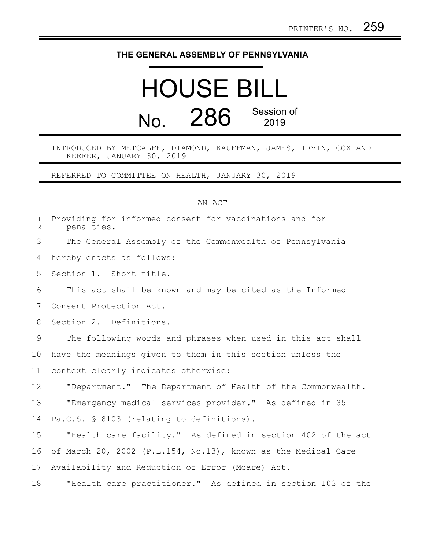## **THE GENERAL ASSEMBLY OF PENNSYLVANIA**

## HOUSE BILL No. 286 Session of 2019

INTRODUCED BY METCALFE, DIAMOND, KAUFFMAN, JAMES, IRVIN, COX AND KEEFER, JANUARY 30, 2019

REFERRED TO COMMITTEE ON HEALTH, JANUARY 30, 2019

## AN ACT

| $\mathbf{1}$<br>2 | Providing for informed consent for vaccinations and for<br>penalties. |
|-------------------|-----------------------------------------------------------------------|
| 3                 | The General Assembly of the Commonwealth of Pennsylvania              |
| 4                 | hereby enacts as follows:                                             |
| 5                 | Section 1. Short title.                                               |
| 6                 | This act shall be known and may be cited as the Informed              |
| 7                 | Consent Protection Act.                                               |
| 8                 | Section 2. Definitions.                                               |
| 9                 | The following words and phrases when used in this act shall           |
| 10                | have the meanings given to them in this section unless the            |
| 11                | context clearly indicates otherwise:                                  |
| 12                | "Department." The Department of Health of the Commonwealth.           |
| 13                | "Emergency medical services provider." As defined in 35               |
| 14                | Pa.C.S. § 8103 (relating to definitions).                             |
| 15                | "Health care facility." As defined in section 402 of the act          |
| 16                | of March 20, 2002 (P.L.154, No.13), known as the Medical Care         |
| 17                | Availability and Reduction of Error (Mcare) Act.                      |
| 18                | "Health care practitioner." As defined in section 103 of the          |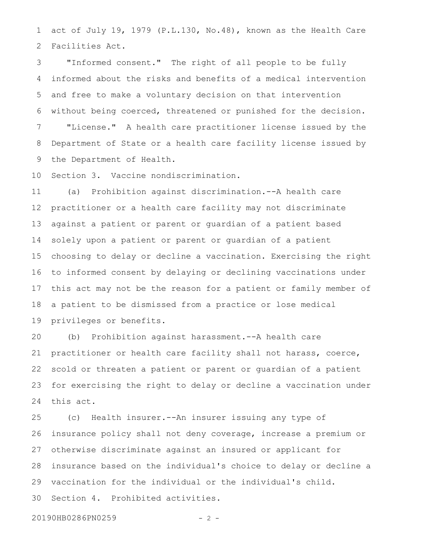act of July 19, 1979 (P.L.130, No.48), known as the Health Care Facilities Act. 1 2

"Informed consent." The right of all people to be fully informed about the risks and benefits of a medical intervention and free to make a voluntary decision on that intervention without being coerced, threatened or punished for the decision. "License." A health care practitioner license issued by the Department of State or a health care facility license issued by the Department of Health. 3 4 5 6 7 8 9

Section 3. Vaccine nondiscrimination. 10

(a) Prohibition against discrimination.--A health care practitioner or a health care facility may not discriminate against a patient or parent or guardian of a patient based solely upon a patient or parent or guardian of a patient choosing to delay or decline a vaccination. Exercising the right to informed consent by delaying or declining vaccinations under this act may not be the reason for a patient or family member of a patient to be dismissed from a practice or lose medical privileges or benefits. 11 12 13 14 15 16 17 18 19

(b) Prohibition against harassment.--A health care practitioner or health care facility shall not harass, coerce, scold or threaten a patient or parent or guardian of a patient for exercising the right to delay or decline a vaccination under this act. 20 21 22 23 24

(c) Health insurer.--An insurer issuing any type of insurance policy shall not deny coverage, increase a premium or otherwise discriminate against an insured or applicant for insurance based on the individual's choice to delay or decline a vaccination for the individual or the individual's child. Section 4. Prohibited activities. 25 26 27 28 29 30

20190HB0286PN0259 - 2 -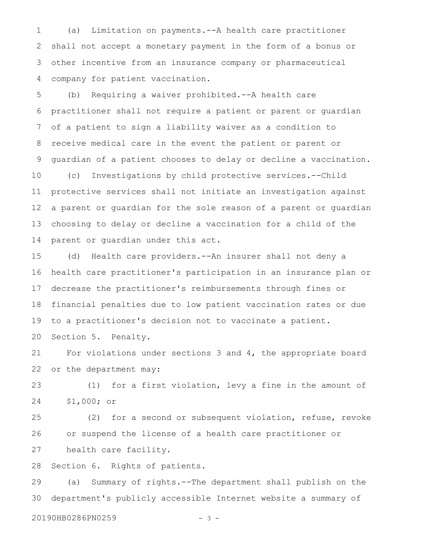(a) Limitation on payments.--A health care practitioner shall not accept a monetary payment in the form of a bonus or other incentive from an insurance company or pharmaceutical company for patient vaccination. 1 2 3 4

(b) Requiring a waiver prohibited.--A health care practitioner shall not require a patient or parent or guardian of a patient to sign a liability waiver as a condition to receive medical care in the event the patient or parent or guardian of a patient chooses to delay or decline a vaccination. (c) Investigations by child protective services.--Child protective services shall not initiate an investigation against a parent or guardian for the sole reason of a parent or guardian choosing to delay or decline a vaccination for a child of the parent or guardian under this act. 5 6 7 8 9 10 11 12 13 14

(d) Health care providers.--An insurer shall not deny a health care practitioner's participation in an insurance plan or decrease the practitioner's reimbursements through fines or financial penalties due to low patient vaccination rates or due to a practitioner's decision not to vaccinate a patient. Section 5. Penalty. 15 16 17 18 19 20

For violations under sections 3 and 4, the appropriate board or the department may: 21 22

(1) for a first violation, levy a fine in the amount of \$1,000; or 23 24

(2) for a second or subsequent violation, refuse, revoke or suspend the license of a health care practitioner or health care facility. 25 26 27

Section 6. Rights of patients. 28

(a) Summary of rights.--The department shall publish on the department's publicly accessible Internet website a summary of 29 30

20190HB0286PN0259 - 3 -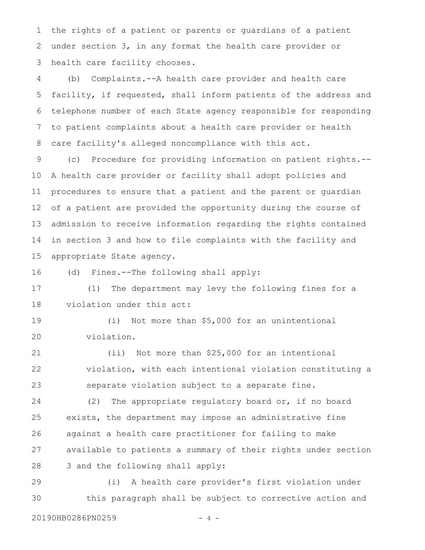the rights of a patient or parents or guardians of a patient under section 3, in any format the health care provider or health care facility chooses. 1 2 3

(b) Complaints.--A health care provider and health care facility, if requested, shall inform patients of the address and telephone number of each State agency responsible for responding to patient complaints about a health care provider or health care facility's alleged noncompliance with this act. 4 5 6 7 8

(c) Procedure for providing information on patient rights.-- A health care provider or facility shall adopt policies and procedures to ensure that a patient and the parent or guardian of a patient are provided the opportunity during the course of admission to receive information regarding the rights contained in section 3 and how to file complaints with the facility and appropriate State agency. 9 10 11 12 13 14 15

(d) Fines.--The following shall apply: 16

(1) The department may levy the following fines for a violation under this act: 17 18

(i) Not more than \$5,000 for an unintentional violation. 19 20

(ii) Not more than \$25,000 for an intentional violation, with each intentional violation constituting a separate violation subject to a separate fine. 21 22 23

(2) The appropriate regulatory board or, if no board exists, the department may impose an administrative fine against a health care practitioner for failing to make available to patients a summary of their rights under section 3 and the following shall apply: 24 25 26 27 28

(i) A health care provider's first violation under this paragraph shall be subject to corrective action and 29 30

20190HB0286PN0259 - 4 -